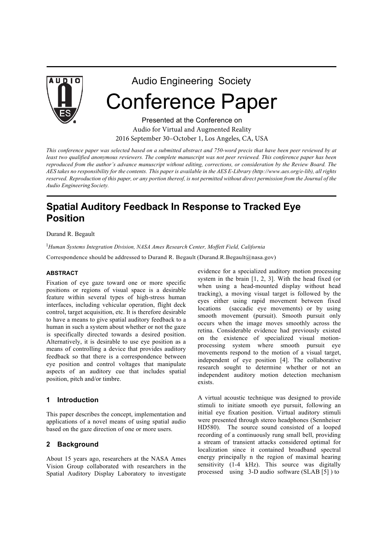

# Audio Engineering Society Conference Paper

Presented at the Conference on Audio for Virtual and Augmented Reality 2016 September 30–October 1, Los Angeles, CA, USA

*This conference paper was selected based on a submitted abstract and 750-word precis that have been peer reviewed by at*  least two qualified anonymous reviewers. The complete manuscript was not peer reviewed. This conference paper has been *reproduced from the author's advance manuscript without editing, corrections, or consideration by the Review Board. The*  AES takes no responsibility for the contents. This paper is available in the AES E-Library (http://www.aes.org/e-lib), all rights reserved. Reproduction of this paper, or any portion thereof, is not permitted without direct permission from the Journal of the *Audio Engineering Society.*

# **Spatial Auditory Feedback In Response to Tracked Eye Position**

Durand R. Begault

<sup>1</sup>Human Systems Integration Division, NASA Ames Research Center, Moffett Field, California

Correspondence should be addressed to Durand R. Begault (Durand.R.Begault@nasa.gov)

#### **ABSTRACT**

Fixation of eye gaze toward one or more specific positions or regions of visual space is a desirable feature within several types of high-stress human interfaces, including vehicular operation, flight deck control, target acquisition, etc. It is therefore desirable to have a means to give spatial auditory feedback to a human in such a system about whether or not the gaze is specifically directed towards a desired position. Alternatively, it is desirable to use eye position as a means of controlling a device that provides auditory feedback so that there is a correspondence between eye position and control voltages that manipulate aspects of an auditory cue that includes spatial position, pitch and/or timbre.

#### **1 Introduction**

This paper describes the concept, implementation and applications of a novel means of using spatial audio based on the gaze direction of one or more users.

#### **2 Background**

About 15 years ago, researchers at the NASA Ames Vision Group collaborated with researchers in the Spatial Auditory Display Laboratory to investigate evidence for a specialized auditory motion processing system in the brain [1, 2, 3]. With the head fixed (or when using a head-mounted display without head tracking), a moving visual target is followed by the eyes either using rapid movement between fixed locations (saccadic eye movements) or by using smooth movement (pursuit). Smooth pursuit only occurs when the image moves smoothly across the retina. Considerable evidence had previously existed on the existence of specialized visual motionprocessing system where smooth pursuit eye movements respond to the motion of a visual target, independent of eye position [4]. The collaborative research sought to determine whether or not an independent auditory motion detection mechanism exists.

A virtual acoustic technique was designed to provide stimuli to initiate smooth eye pursuit, following an initial eye fixation position. Virtual auditory stimuli were presented through stereo headphones (Sennheiser HD580). The source sound consisted of a looped recording of a continuously rung small bell, providing a stream of transient attacks considered optimal for localization since it contained broadband spectral energy principally n the region of maximal hearing sensitivity (1-4 kHz). This source was digitally processed using 3-D audio software (SLAB [5] ) to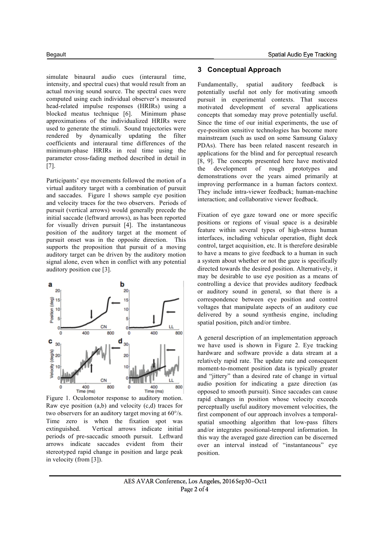simulate binaural audio cues (interaural time, intensity, and spectral cues) that would result from an actual moving sound source. The spectral cues were computed using each individual observer's measured head-related impulse responses (HRIRs) using a blocked meatus technique [6]. Minimum phase approximations of the individualized HRIRs were used to generate the stimuli. Sound trajectories were rendered by dynamically updating the filter coefficients and interaural time differences of the minimum-phase HRIRs in real time using the parameter cross-fading method described in detail in [7].

Participants' eye movements followed the motion of a virtual auditory target with a combination of pursuit and saccades. Figure 1 shows sample eye position and velocity traces for the two observers. Periods of pursuit (vertical arrows) would generally precede the initial saccade (leftward arrows), as has been reported for visually driven pursuit [4]. The instantaneous position of the auditory target at the moment of pursuit onset was in the opposite direction. This supports the proposition that pursuit of a moving auditory target can be driven by the auditory motion signal alone, even when in conflict with any potential auditory position cue [3].



Figure 1. Oculomotor response to auditory motion. Raw eye position (a,b) and velocity (c,d) traces for two observers for an auditory target moving at 60°/s. Time zero is when the fixation spot was extinguished. Vertical arrows indicate initial periods of pre-saccadic smooth pursuit. Leftward arrows indicate saccades evident from their stereotyped rapid change in position and large peak in velocity (from [3]).

#### **3 Conceptual Approach**

Fundamentally, spatial auditory feedback is potentially useful not only for motivating smooth pursuit in experimental contexts. That success motivated development of several applications concepts that someday may prove potentially useful. Since the time of our initial experiments, the use of eye-position sensitive technologies has become more mainstream (such as used on some Samsung Galaxy PDAs). There has been related nascent research in applications for the blind and for perceptual research [8, 9]. The concepts presented here have motivated the development of rough prototypes and demonstrations over the years aimed primarily at improving performance in a human factors context. They include intra-viewer feedback; human-machine interaction; and collaborative viewer feedback.

Fixation of eye gaze toward one or more specific positions or regions of visual space is a desirable feature within several types of high-stress human interfaces, including vehicular operation, flight deck control, target acquisition, etc. It is therefore desirable to have a means to give feedback to a human in such a system about whether or not the gaze is specifically directed towards the desired position. Alternatively, it may be desirable to use eye position as a means of controlling a device that provides auditory feedback or auditory sound in general, so that there is a correspondence between eye position and control voltages that manipulate aspects of an auditory cue delivered by a sound synthesis engine, including spatial position, pitch and/or timbre.

A general description of an implementation approach we have used is shown in Figure 2. Eye tracking hardware and software provide a data stream at a relatively rapid rate. The update rate and consequent moment-to-moment position data is typically greater and "jittery" than a desired rate of change in virtual audio position for indicating a gaze direction (as opposed to smooth pursuit). Since saccades can cause rapid changes in position whose velocity exceeds perceptually useful auditory movement velocities, the first component of our approach involves a temporalspatial smoothing algorithm that low-pass filters and/or integrates positional-temporal information. In this way the averaged gaze direction can be discerned over an interval instead of "instantaneous" eye position.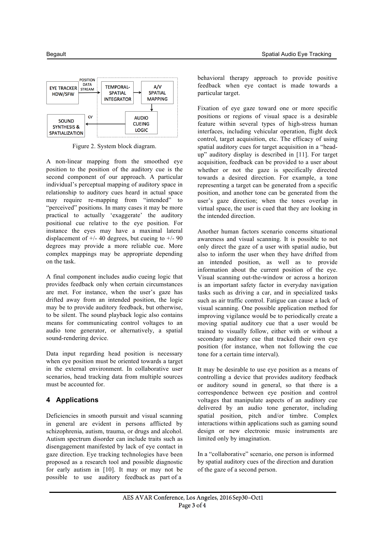

Figure 2. System block diagram.

A non-linear mapping from the smoothed eye position to the position of the auditory cue is the second component of our approach. A particular individual's perceptual mapping of auditory space in relationship to auditory cues heard in actual space may require re-mapping from "intended" to "perceived" positions. In many cases it may be more practical to actually 'exaggerate' the auditory positional cue relative to the eye position. For instance the eyes may have a maximal lateral displacement of  $+/- 40$  degrees, but cueing to  $+/- 90$ degrees may provide a more reliable cue. More complex mappings may be appropriate depending on the task.

A final component includes audio cueing logic that provides feedback only when certain circumstances are met. For instance, when the user's gaze has drifted away from an intended position, the logic may be to provide auditory feedback, but otherwise, to be silent. The sound playback logic also contains means for communicating control voltages to an audio tone generator, or alternatively, a spatial sound-rendering device.

Data input regarding head position is necessary when eye position must be oriented towards a target in the external environment. In collaborative user scenarios, head tracking data from multiple sources must be accounted for.

# **4 Applications**

Deficiencies in smooth pursuit and visual scanning in general are evident in persons afflicted by schizophrenia, autism, trauma, or drugs and alcohol. Autism spectrum disorder can include traits such as disengagement manifested by lack of eye contact in gaze direction. Eye tracking technologies have been proposed as a research tool and possible diagnostic for early autism in [10]. It may or may not be possible to use auditory feedback as part of a

behavioral therapy approach to provide positive feedback when eye contact is made towards a particular target.

Fixation of eye gaze toward one or more specific positions or regions of visual space is a desirable feature within several types of high-stress human interfaces, including vehicular operation, flight deck control, target acquisition, etc. The efficacy of using spatial auditory cues for target acquisition in a "headup" auditory display is described in [11]. For target acquisition, feedback can be provided to a user about whether or not the gaze is specifically directed towards a desired direction. For example, a tone representing a target can be generated from a specific position, and another tone can be generated from the user's gaze direction; when the tones overlap in virtual space, the user is cued that they are looking in the intended direction.

Another human factors scenario concerns situational awareness and visual scanning. It is possible to not only direct the gaze of a user with spatial audio, but also to inform the user when they have drifted from an intended position, as well as to provide information about the current position of the eye. Visual scanning out-the-window or across a horizon is an important safety factor in everyday navigation tasks such as driving a car, and in specialized tasks such as air traffic control. Fatigue can cause a lack of visual scanning. One possible application method for improving vigilance would be to periodically create a moving spatial auditory cue that a user would be trained to visually follow, either with or without a secondary auditory cue that tracked their own eye position (for instance, when not following the cue tone for a certain time interval).

It may be desirable to use eye position as a means of controlling a device that provides auditory feedback or auditory sound in general, so that there is a correspondence between eye position and control voltages that manipulate aspects of an auditory cue delivered by an audio tone generator, including spatial position, pitch and/or timbre. Complex interactions within applications such as gaming sound design or new electronic music instruments are limited only by imagination.

In a "collaborative" scenario, one person is informed by spatial auditory cues of the direction and duration of the gaze of a second person.